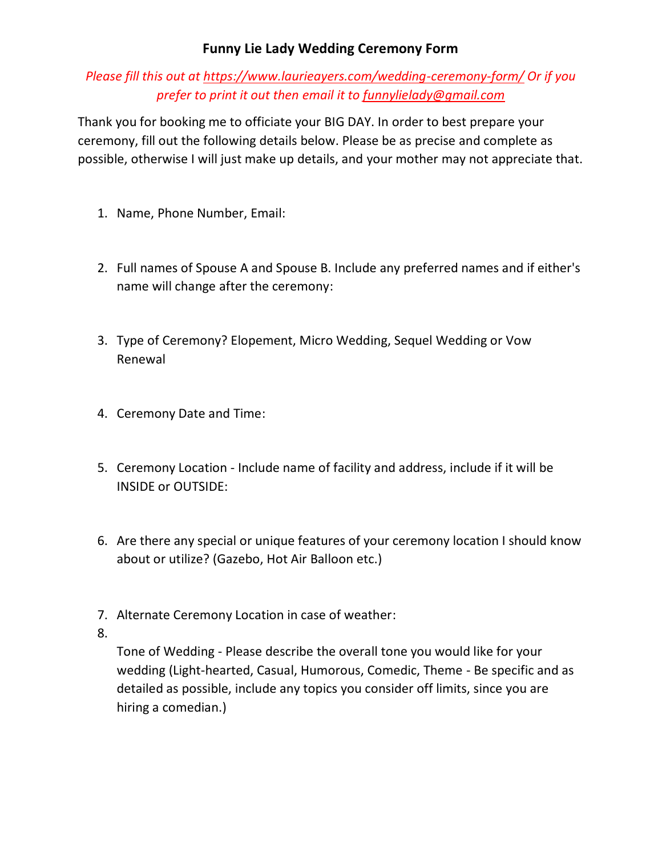## **Funny Lie Lady Wedding Ceremony Form**

*Please fill this out at<https://www.laurieayers.com/wedding-ceremony-form/> Or if you prefer to print it out then email it to [funnylielady@gmail.com](mailto:funnylielady@gmail.com)*

Thank you for booking me to officiate your BIG DAY. In order to best prepare your ceremony, fill out the following details below. Please be as precise and complete as possible, otherwise I will just make up details, and your mother may not appreciate that.

- 1. Name, Phone Number, Email:
- 2. Full names of Spouse A and Spouse B. Include any preferred names and if either's name will change after the ceremony:
- 3. Type of Ceremony? Elopement, Micro Wedding, Sequel Wedding or Vow Renewal
- 4. Ceremony Date and Time:
- 5. Ceremony Location Include name of facility and address, include if it will be INSIDE or OUTSIDE:
- 6. Are there any special or unique features of your ceremony location I should know about or utilize? (Gazebo, Hot Air Balloon etc.)
- 7. Alternate Ceremony Location in case of weather:
- 8.

Tone of Wedding - Please describe the overall tone you would like for your wedding (Light-hearted, Casual, Humorous, Comedic, Theme - Be specific and as detailed as possible, include any topics you consider off limits, since you are hiring a comedian.)